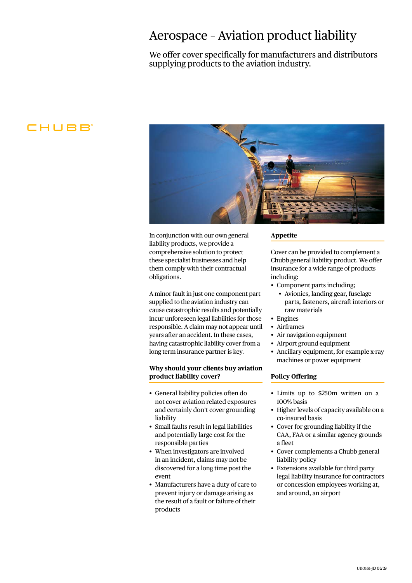## Aerospace – Aviation product liability

We offer cover specifically for manufacturers and distributors supplying products to the aviation industry.

### CHUBB



In conjunction with our own general liability products, we provide a comprehensive solution to protect these specialist businesses and help them comply with their contractual obligations.

A minor fault in just one component part supplied to the aviation industry can cause catastrophic results and potentially incur unforeseen legal liabilities for those responsible. A claim may not appear until years after an accident. In these cases, having catastrophic liability cover from a long term insurance partner is key.

### **Why should your clients buy aviation product liability cover?**

- General liability policies often do not cover aviation related exposures and certainly don't cover grounding liability
- Small faults result in legal liabilities and potentially large cost for the responsible parties
- When investigators are involved in an incident, claims may not be discovered for a long time post the event
- Manufacturers have a duty of care to prevent injury or damage arising as the result of a fault or failure of their products

### **Appetite**

Cover can be provided to complement a Chubb general liability product. We offer insurance for a wide range of products including:

- Component parts including;
	- Avionics, landing gear, fuselage parts, fasteners, aircraft interiors or raw materials
- Engines
- Airframes
- Air navigation equipment
- Airport ground equipment
- Ancillary equipment, for example x-ray machines or power equipment

#### **Policy Offering**

- • Limits up to \$250m written on a 100% basis
- Higher levels of capacity available on a co-insured basis
- Cover for grounding liability if the CAA, FAA or a similar agency grounds a fleet
- Cover complements a Chubb general liability policy
- Extensions available for third party legal liability insurance for contractors or concession employees working at, and around, an airport